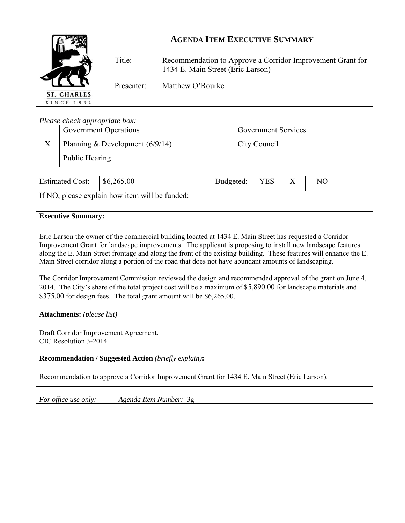|                                                                                                                                                                                                                                                                                                                                                                                                                                                                                                                                                                                                                                                                                                                                                          |                                   | <b>AGENDA ITEM EXECUTIVE SUMMARY</b>           |                                                                                                 |           |                            |              |   |                |  |
|----------------------------------------------------------------------------------------------------------------------------------------------------------------------------------------------------------------------------------------------------------------------------------------------------------------------------------------------------------------------------------------------------------------------------------------------------------------------------------------------------------------------------------------------------------------------------------------------------------------------------------------------------------------------------------------------------------------------------------------------------------|-----------------------------------|------------------------------------------------|-------------------------------------------------------------------------------------------------|-----------|----------------------------|--------------|---|----------------|--|
|                                                                                                                                                                                                                                                                                                                                                                                                                                                                                                                                                                                                                                                                                                                                                          |                                   | Title:                                         | Recommendation to Approve a Corridor Improvement Grant for<br>1434 E. Main Street (Eric Larson) |           |                            |              |   |                |  |
|                                                                                                                                                                                                                                                                                                                                                                                                                                                                                                                                                                                                                                                                                                                                                          | <b>ST. CHARLES</b><br>SINCE 1834  | Presenter:                                     | Matthew O'Rourke                                                                                |           |                            |              |   |                |  |
|                                                                                                                                                                                                                                                                                                                                                                                                                                                                                                                                                                                                                                                                                                                                                          | Please check appropriate box:     |                                                |                                                                                                 |           |                            |              |   |                |  |
|                                                                                                                                                                                                                                                                                                                                                                                                                                                                                                                                                                                                                                                                                                                                                          | <b>Government Operations</b>      |                                                |                                                                                                 |           | <b>Government Services</b> |              |   |                |  |
| X                                                                                                                                                                                                                                                                                                                                                                                                                                                                                                                                                                                                                                                                                                                                                        |                                   | Planning & Development $(6/9/14)$              |                                                                                                 |           |                            | City Council |   |                |  |
|                                                                                                                                                                                                                                                                                                                                                                                                                                                                                                                                                                                                                                                                                                                                                          | Public Hearing                    |                                                |                                                                                                 |           |                            |              |   |                |  |
|                                                                                                                                                                                                                                                                                                                                                                                                                                                                                                                                                                                                                                                                                                                                                          |                                   |                                                |                                                                                                 |           |                            |              |   |                |  |
|                                                                                                                                                                                                                                                                                                                                                                                                                                                                                                                                                                                                                                                                                                                                                          | <b>Estimated Cost:</b>            | \$6,265.00                                     |                                                                                                 | Budgeted: |                            | <b>YES</b>   | X | N <sub>O</sub> |  |
|                                                                                                                                                                                                                                                                                                                                                                                                                                                                                                                                                                                                                                                                                                                                                          |                                   | If NO, please explain how item will be funded: |                                                                                                 |           |                            |              |   |                |  |
|                                                                                                                                                                                                                                                                                                                                                                                                                                                                                                                                                                                                                                                                                                                                                          | <b>Executive Summary:</b>         |                                                |                                                                                                 |           |                            |              |   |                |  |
| Eric Larson the owner of the commercial building located at 1434 E. Main Street has requested a Corridor<br>Improvement Grant for landscape improvements. The applicant is proposing to install new landscape features<br>along the E. Main Street frontage and along the front of the existing building. These features will enhance the E.<br>Main Street corridor along a portion of the road that does not have abundant amounts of landscaping.<br>The Corridor Improvement Commission reviewed the design and recommended approval of the grant on June 4,<br>2014. The City's share of the total project cost will be a maximum of \$5,890.00 for landscape materials and<br>\$375.00 for design fees. The total grant amount will be \$6,265.00. |                                   |                                                |                                                                                                 |           |                            |              |   |                |  |
|                                                                                                                                                                                                                                                                                                                                                                                                                                                                                                                                                                                                                                                                                                                                                          | <b>Attachments:</b> (please list) |                                                |                                                                                                 |           |                            |              |   |                |  |
| Draft Corridor Improvement Agreement.<br>CIC Resolution 3-2014                                                                                                                                                                                                                                                                                                                                                                                                                                                                                                                                                                                                                                                                                           |                                   |                                                |                                                                                                 |           |                            |              |   |                |  |
| <b>Recommendation / Suggested Action (briefly explain):</b>                                                                                                                                                                                                                                                                                                                                                                                                                                                                                                                                                                                                                                                                                              |                                   |                                                |                                                                                                 |           |                            |              |   |                |  |
| Recommendation to approve a Corridor Improvement Grant for 1434 E. Main Street (Eric Larson).                                                                                                                                                                                                                                                                                                                                                                                                                                                                                                                                                                                                                                                            |                                   |                                                |                                                                                                 |           |                            |              |   |                |  |
|                                                                                                                                                                                                                                                                                                                                                                                                                                                                                                                                                                                                                                                                                                                                                          | For office use only:              | Agenda Item Number: 3g                         |                                                                                                 |           |                            |              |   |                |  |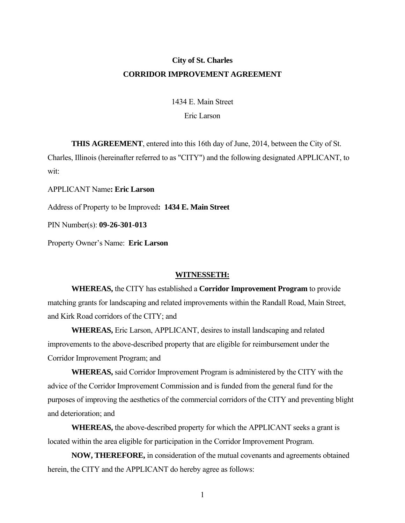# **City of St. Charles CORRIDOR IMPROVEMENT AGREEMENT**

1434 E. Main Street Eric Larson

**THIS AGREEMENT**, entered into this 16th day of June, 2014, between the City of St. Charles, Illinois (hereinafter referred to as "CITY") and the following designated APPLICANT, to wit:

APPLICANT Name**: Eric Larson** 

Address of Property to be Improved**: 1434 E. Main Street** 

PIN Number(s): **09-26-301-013** 

Property Owner's Name: **Eric Larson**

#### **WITNESSETH:**

 **WHEREAS,** the CITY has established a **Corridor Improvement Program** to provide matching grants for landscaping and related improvements within the Randall Road, Main Street, and Kirk Road corridors of the CITY; and

**WHEREAS,** Eric Larson, APPLICANT, desires to install landscaping and related improvements to the above-described property that are eligible for reimbursement under the Corridor Improvement Program; and

 **WHEREAS,** said Corridor Improvement Program is administered by the CITY with the advice of the Corridor Improvement Commission and is funded from the general fund for the purposes of improving the aesthetics of the commercial corridors of the CITY and preventing blight and deterioration; and

 **WHEREAS,** the above-described property for which the APPLICANT seeks a grant is located within the area eligible for participation in the Corridor Improvement Program.

 **NOW, THEREFORE,** in consideration of the mutual covenants and agreements obtained herein, the CITY and the APPLICANT do hereby agree as follows: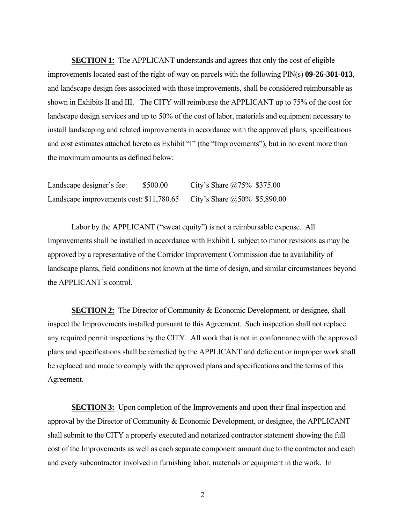**SECTION 1:** The APPLICANT understands and agrees that only the cost of eligible improvements located east of the right-of-way on parcels with the following PIN(s) **09-26-301-013**, and landscape design fees associated with those improvements, shall be considered reimbursable as shown in Exhibits II and III. The CITY will reimburse the APPLICANT up to 75% of the cost for landscape design services and up to 50% of the cost of labor, materials and equipment necessary to install landscaping and related improvements in accordance with the approved plans, specifications and cost estimates attached hereto as Exhibit "I" (the "Improvements"), but in no event more than the maximum amounts as defined below:

| Landscape designer's fee:                | \$500.00 | City's Share $(2.75\%$ \$375.00 |  |
|------------------------------------------|----------|---------------------------------|--|
| Landscape improvements cost: \$11,780.65 |          | City's Share $@50\%$ \$5,890.00 |  |

 Labor by the APPLICANT ("sweat equity") is not a reimbursable expense. All Improvements shall be installed in accordance with Exhibit I, subject to minor revisions as may be approved by a representative of the Corridor Improvement Commission due to availability of landscape plants, field conditions not known at the time of design, and similar circumstances beyond the APPLICANT's control.

**SECTION 2:** The Director of Community & Economic Development, or designee, shall inspect the Improvements installed pursuant to this Agreement. Such inspection shall not replace any required permit inspections by the CITY. All work that is not in conformance with the approved plans and specifications shall be remedied by the APPLICANT and deficient or improper work shall be replaced and made to comply with the approved plans and specifications and the terms of this Agreement.

**SECTION 3:** Upon completion of the Improvements and upon their final inspection and approval by the Director of Community & Economic Development, or designee, the APPLICANT shall submit to the CITY a properly executed and notarized contractor statement showing the full cost of the Improvements as well as each separate component amount due to the contractor and each and every subcontractor involved in furnishing labor, materials or equipment in the work. In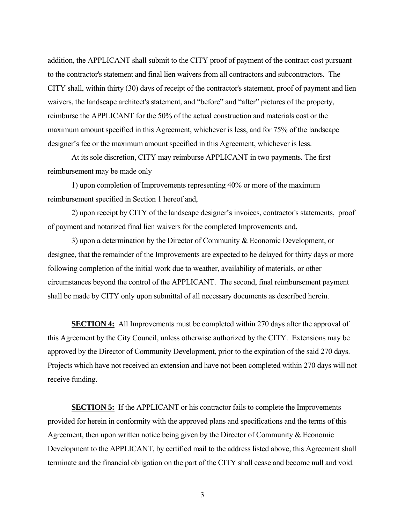addition, the APPLICANT shall submit to the CITY proof of payment of the contract cost pursuant to the contractor's statement and final lien waivers from all contractors and subcontractors. The CITY shall, within thirty (30) days of receipt of the contractor's statement, proof of payment and lien waivers, the landscape architect's statement, and "before" and "after" pictures of the property, reimburse the APPLICANT for the 50% of the actual construction and materials cost or the maximum amount specified in this Agreement, whichever is less, and for 75% of the landscape designer's fee or the maximum amount specified in this Agreement, whichever is less.

 At its sole discretion, CITY may reimburse APPLICANT in two payments. The first reimbursement may be made only

 1) upon completion of Improvements representing 40% or more of the maximum reimbursement specified in Section 1 hereof and,

 2) upon receipt by CITY of the landscape designer's invoices, contractor's statements, proof of payment and notarized final lien waivers for the completed Improvements and,

 3) upon a determination by the Director of Community & Economic Development, or designee, that the remainder of the Improvements are expected to be delayed for thirty days or more following completion of the initial work due to weather, availability of materials, or other circumstances beyond the control of the APPLICANT. The second, final reimbursement payment shall be made by CITY only upon submittal of all necessary documents as described herein.

**SECTION 4:** All Improvements must be completed within 270 days after the approval of this Agreement by the City Council, unless otherwise authorized by the CITY. Extensions may be approved by the Director of Community Development, prior to the expiration of the said 270 days. Projects which have not received an extension and have not been completed within 270 days will not receive funding.

**SECTION 5:** If the APPLICANT or his contractor fails to complete the Improvements provided for herein in conformity with the approved plans and specifications and the terms of this Agreement, then upon written notice being given by the Director of Community & Economic Development to the APPLICANT, by certified mail to the address listed above, this Agreement shall terminate and the financial obligation on the part of the CITY shall cease and become null and void.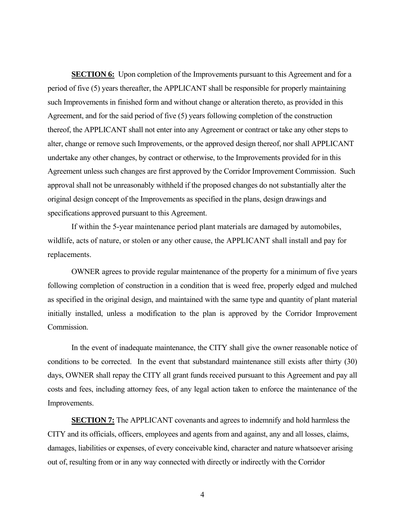**SECTION 6:** Upon completion of the Improvements pursuant to this Agreement and for a period of five (5) years thereafter, the APPLICANT shall be responsible for properly maintaining such Improvements in finished form and without change or alteration thereto, as provided in this Agreement, and for the said period of five (5) years following completion of the construction thereof, the APPLICANT shall not enter into any Agreement or contract or take any other steps to alter, change or remove such Improvements, or the approved design thereof, nor shall APPLICANT undertake any other changes, by contract or otherwise, to the Improvements provided for in this Agreement unless such changes are first approved by the Corridor Improvement Commission. Such approval shall not be unreasonably withheld if the proposed changes do not substantially alter the original design concept of the Improvements as specified in the plans, design drawings and specifications approved pursuant to this Agreement.

 If within the 5-year maintenance period plant materials are damaged by automobiles, wildlife, acts of nature, or stolen or any other cause, the APPLICANT shall install and pay for replacements.

OWNER agrees to provide regular maintenance of the property for a minimum of five years following completion of construction in a condition that is weed free, properly edged and mulched as specified in the original design, and maintained with the same type and quantity of plant material initially installed, unless a modification to the plan is approved by the Corridor Improvement Commission.

In the event of inadequate maintenance, the CITY shall give the owner reasonable notice of conditions to be corrected. In the event that substandard maintenance still exists after thirty (30) days, OWNER shall repay the CITY all grant funds received pursuant to this Agreement and pay all costs and fees, including attorney fees, of any legal action taken to enforce the maintenance of the Improvements.

**SECTION 7:** The APPLICANT covenants and agrees to indemnify and hold harmless the CITY and its officials, officers, employees and agents from and against, any and all losses, claims, damages, liabilities or expenses, of every conceivable kind, character and nature whatsoever arising out of, resulting from or in any way connected with directly or indirectly with the Corridor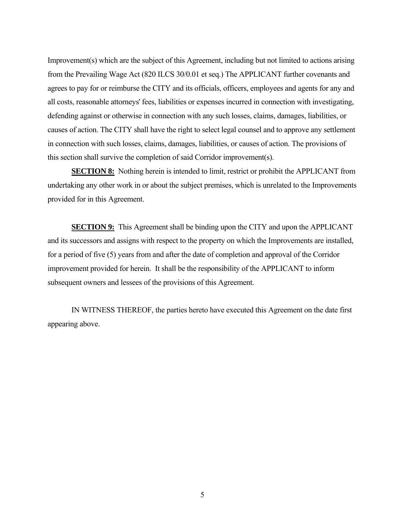Improvement(s) which are the subject of this Agreement, including but not limited to actions arising from the Prevailing Wage Act (820 ILCS 30/0.01 et seq.) The APPLICANT further covenants and agrees to pay for or reimburse the CITY and its officials, officers, employees and agents for any and all costs, reasonable attorneys' fees, liabilities or expenses incurred in connection with investigating, defending against or otherwise in connection with any such losses, claims, damages, liabilities, or causes of action. The CITY shall have the right to select legal counsel and to approve any settlement in connection with such losses, claims, damages, liabilities, or causes of action. The provisions of this section shall survive the completion of said Corridor improvement(s).

**SECTION 8:** Nothing herein is intended to limit, restrict or prohibit the APPLICANT from undertaking any other work in or about the subject premises, which is unrelated to the Improvements provided for in this Agreement.

**SECTION 9:** This Agreement shall be binding upon the CITY and upon the APPLICANT and its successors and assigns with respect to the property on which the Improvements are installed, for a period of five (5) years from and after the date of completion and approval of the Corridor improvement provided for herein. It shall be the responsibility of the APPLICANT to inform subsequent owners and lessees of the provisions of this Agreement.

 IN WITNESS THEREOF, the parties hereto have executed this Agreement on the date first appearing above.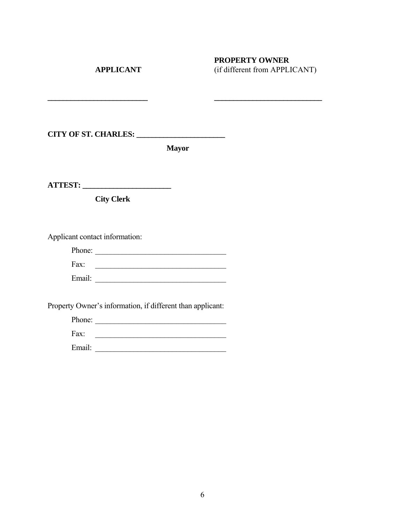# **PROPERTY OWNER<br>APPLICANT** (if different from APPLI **APPLICANT** (if different from APPLICANT)

**CITY OF ST. CHARLES: \_\_\_\_\_\_\_\_\_\_\_\_\_\_\_\_\_\_\_\_\_\_\_** 

**Mayor** 

**\_\_\_\_\_\_\_\_\_\_\_\_\_\_\_\_\_\_\_\_\_\_\_\_\_\_ \_\_\_\_\_\_\_\_\_\_\_\_\_\_\_\_\_\_\_\_\_\_\_\_\_\_\_\_** 

**ATTEST: \_\_\_\_\_\_\_\_\_\_\_\_\_\_\_\_\_\_\_\_\_\_\_** 

 **City Clerk** 

Applicant contact information:

| Phone: |  |
|--------|--|
| Fax:   |  |
| Email: |  |

Property Owner's information, if different than applicant:

| Phone: |  |
|--------|--|
| Fax:   |  |
| Email: |  |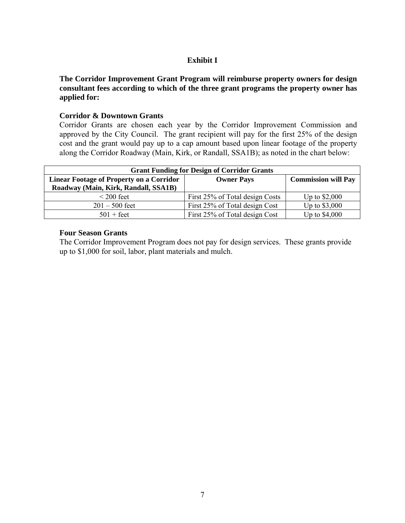## **Exhibit I**

**The Corridor Improvement Grant Program will reimburse property owners for design consultant fees according to which of the three grant programs the property owner has applied for:** 

## **Corridor & Downtown Grants**

Corridor Grants are chosen each year by the Corridor Improvement Commission and approved by the City Council. The grant recipient will pay for the first 25% of the design cost and the grant would pay up to a cap amount based upon linear footage of the property along the Corridor Roadway (Main, Kirk, or Randall, SSA1B); as noted in the chart below:

| <b>Grant Funding for Design of Corridor Grants</b> |                                 |                            |  |  |  |
|----------------------------------------------------|---------------------------------|----------------------------|--|--|--|
| <b>Linear Footage of Property on a Corridor</b>    | <b>Owner Pays</b>               | <b>Commission will Pay</b> |  |  |  |
| Roadway (Main, Kirk, Randall, SSA1B)               |                                 |                            |  |  |  |
| $\leq$ 200 feet                                    | First 25% of Total design Costs | Up to $$2,000$             |  |  |  |
| $201 - 500$ feet                                   | First 25% of Total design Cost  | Up to \$3,000              |  |  |  |
| $501 + \text{feet}$                                | First 25% of Total design Cost  | Up to \$4,000              |  |  |  |

### **Four Season Grants**

The Corridor Improvement Program does not pay for design services. These grants provide up to \$1,000 for soil, labor, plant materials and mulch.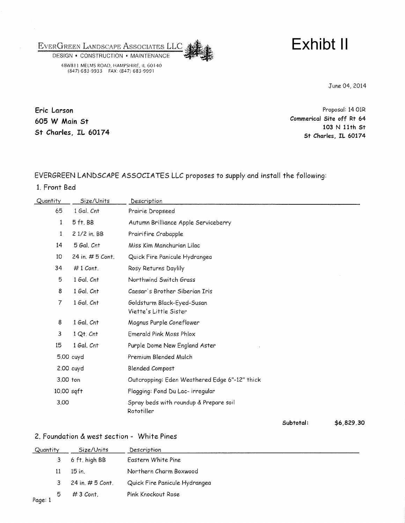EVERGREEN LANDSCAPE ASSOCIATES LLC



DESIGN . CONSTRUCTION . MAINTENANCE 48W811 MELMS ROAD, HAMPSHIRE, IL 60140<br>(847) 683-9933 FAX: (847) 683-9991

June 04, 2014

Eric Larson 605 W Main St St Charles, IL 60174

Proposal: 14 O1R Commerical Site off Rt 64 103 N 11th St St Charles, IL 60174

# EVERGREEN LANDSCAPE ASSOCIATES LLC proposes to supply and install the following:

1. Front Bed

| Quantity       | Size/Units         | Description                                          |            |
|----------------|--------------------|------------------------------------------------------|------------|
| 65             | 1 Gal. Cnt         | Prairie Dropseed                                     |            |
| $\mathbf{1}$   | 5 ft. BB           | Autumn Brilliance Apple Serviceberry                 |            |
| 1              | 2 1/2 in. BB       | Prairifire Crabapple                                 |            |
| 14             | 5 Gal. Cnt         | Miss Kim Manchurian Lilac                            |            |
| 10             | 24 in. $# 5$ Cont. | Quick Fire Panicule Hydrangea                        |            |
| 34             | $#1$ Cont.         | Rosy Returns Daylily                                 |            |
| 5              | 1 Gal. Cnt         | Northwind Switch Grass                               |            |
| 8              | 1 Gal. Cnt         | Caesar's Brother Siberian Iris                       |            |
| $\overline{7}$ | 1 Gal. Cnt         | Goldsturm Black-Eyed-Susan<br>Viette's Little Sister |            |
| 8              | 1 Gal. Cnt         | Magnus Purple Coneflower                             |            |
| 3              | $1 Qt$ . $Cnt$     | Emerald Pink Moss Phlox                              |            |
| 15             | 1 Gal. Cnt         | Purple Dome New England Aster                        |            |
|                | 5.00 cuyd          | Premium Blended Mulch                                |            |
|                | 2.00 cuyd          | <b>Blended Compost</b>                               |            |
| 3.00 ton       |                    | Outcropping: Eden Weathered Edge 6"-12" thick        |            |
| 10.00 sqft     |                    | Flagging: Fond Du Lac- irregular                     |            |
| 3,00           |                    | Spray beds with roundup & Prepare soil<br>Rototiller |            |
|                |                    | Subtotal:                                            | \$6,829.30 |

## 2. Foundation & west section - White Pines

| Quantity |    | Size/Units         | Description                   |
|----------|----|--------------------|-------------------------------|
|          |    | 6 ft. high BB      | Eastern White Pine            |
|          |    | 15 in.             | Northern Charm Boxwood        |
|          | 3. | 24 in. $# 5$ Cont. | Quick Fire Panicule Hydrangea |
| Page: 1  | 5  | $#3$ Cont.         | Pink Knockout Rose            |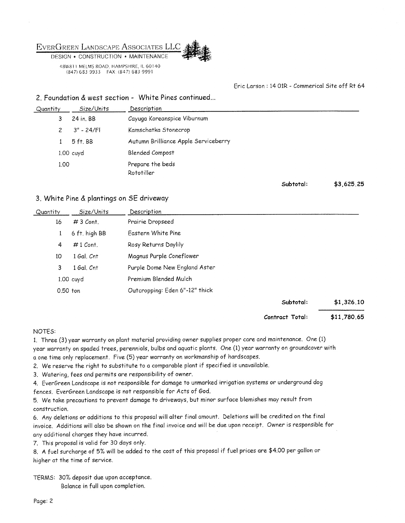

48W811 MELMS ROAD, HAMPSHIRE, IL 60140 (847) 683-9933 FAX: (847) 683-9991



#### Eric Larson: 14 O1R - Commerical Site off Rt 64

#### 2. Foundation & west section - White Pines continued...

| Quantity | Size/Units   | Description                          |           |            |
|----------|--------------|--------------------------------------|-----------|------------|
| 3        | 24 in. BB    | Cayuga Koreanspice Viburnum          |           |            |
| 2        | $3" - 24/F1$ | Kamschatka Stonecrop                 |           |            |
|          | 5 ft. BB     | Autumn Brilliance Apple Serviceberry |           |            |
|          | $1.00$ cuyd  | <b>Blended Compost</b>               |           |            |
| 1.00     |              | Prepare the beds<br>Rototiller       |           |            |
|          |              |                                      | Subtotal: | \$3,625,25 |

#### 3. White Pine & plantings on SE driveway

| Quantity | Size/Units    | Description                    |                 |             |
|----------|---------------|--------------------------------|-----------------|-------------|
| 16       | $#3$ Cont.    | Prairie Dropseed               |                 |             |
| 1        | 6 ft. high BB | Eastern White Pine             |                 |             |
| 4        | $#1$ Cont.    | Rosy Returns Daylily           |                 |             |
| 10       | 1 Gal. Cnt    | Magnus Purple Coneflower       |                 |             |
| 3        | 1 Gal. Cnt    | Purple Dome New England Aster  |                 |             |
|          | 1.00 cuyd     | Premium Blended Mulch          |                 |             |
|          | $0.50$ ton    | Outcropping: Eden 6"-12" thick |                 |             |
|          |               |                                | Subtotal:       | \$1,326.10  |
|          |               |                                | Contract Total: | \$11,780.65 |

#### NOTES:

1. Three (3) year warranty on plant material providing owner supplies proper care and maintenance. One (1) year warranty on spaded trees, perennials, bulbs and aquatic plants. One (1) year warranty on groundcover with a one time only replacement. Five (5) year warranty on workmanship of hardscapes.

2. We reserve the right to substitute to a comparable plant if specified is unavailable.

3. Watering, fees and permits are responsibility of owner.

4. EverGreen Landscape is not responsible for damage to unmarked irrigation systems or underground dog fences. EverGreen Landscape is not responsible for Acts of God.

5. We take precautions to prevent damage to driveways, but minor surface blemishes may result from construction.

6. Any deletions or additions to this proposal will alter final amount. Deletions will be credited on the final invoice. Additions will also be shown on the final invoice and will be due upon receipt. Owner is responsible for any additional charges they have incurred.

7. This proposal is valid for 30 days only.

8. A fuel surcharge of 5% will be added to the cost of this proposal if fuel prices are \$4.00 per gallon or higher at the time of service.

TERMS: 30% deposit due upon acceptance. Balance in full upon completion.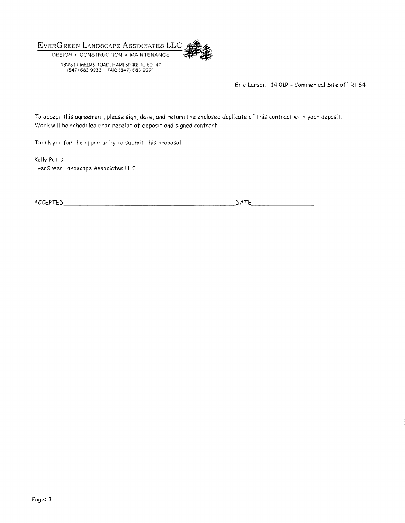

Eric Larson: 14 OIR - Commerical Site off Rt 64

To accept this agreement, please sign, date, and return the enclosed duplicate of this contract with your deposit. Work will be scheduled upon receipt of deposit and signed contract.

Thank you for the opportunity to submit this proposal,

Kelly Potts EverGreen Landscape Associates LLC

ACCEPTED

DATE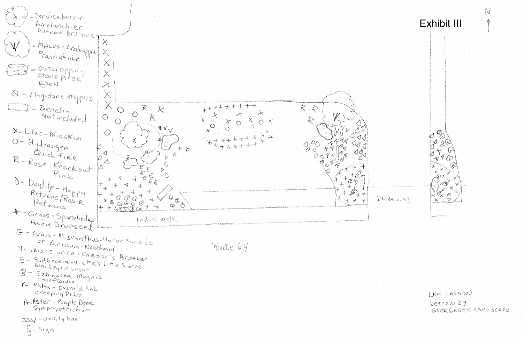Serviceberg Amelanchier Autumn Brilliance Macus-craboptel **Construction**  $\mathbb{X}$ Prairiefine .<br>Arman Outeropping .<br>A Stone pièce! EDEN Q - Flagstone Steppers L. I Bench.  $+ +$  $\overline{\mathcal{K}}$  $\mathcal{L}_{\text{c}}$  $+$  $\frac{1}{2}$  $+$ familie († 1875)<br>18 de juny - Santo Carlos († 1875)<br>18 de juny - Santo Carlos († 1876)  $\frac{1}{2}$  $\binom{m}{n}$ **Contractor** Not include &  $\mathscr V$  $\mathcal{K}% _{0}$ À **Albany**  $O X$ **Comment**  $\lambda^{\prime}$ **Roman**  $\mathbf{W}_{\mathbf{V}}$  $\circ$ X-LILLE-MISSKIN  $\mathcal{N}$ a karang karang karang lampung karang dina masa dan karang dina masa dan karang dalam dan dalam karang dalam <br>Kabupatèn Panang Kabupatèn Panang Kabupatèn Panang dina dina dikenali di dalam karang dalam karang dalam karan O-Hydrangen  $3^o$  $\mathcal{Q}$ nga aga aga aga  $D$ Quick Freie  $\sim$ R-Rose-Krackaut **Control**  $\sum_{i=1}^{n}$ **Romando** Ì, Ø b D- Daylity - Happy **A** E E " (C Retylins/Rosin  $\mathbb{D}^{\bullet}$ Refugis  $\frac{\partial^2}{\partial p^2}$ **Burning**  $\frac{\partial}{\partial x^{\mu}}\frac{\partial}{\partial x^{\mu}}=0$ 6 G  $G\mathcal{G}$  $\frac{1}{2}$  $\langle \mathbb{O} \rangle$ **IS**  $+$   $+$   $6$   $-$ + - Grass - Sporobolus public walk Rairie Dropseed G - Grass-Miscanthus-Huron Suneise or Panicom-Northwind Route 64 V- IRIS-SIbrica-Caesaris Brother E Rudbeckia-Viette's Little Sisters Blackey + d Sugan 6 Echinacea-Magnus P- Phlox - Emerald Pink Creeping Phlox A Aster - Purple Dome DES ptility box Il-sign



parama<br>Panana



DRIVEWAY

ERIC LARSON DESIGN BY EVERGREEN LANDSCAPE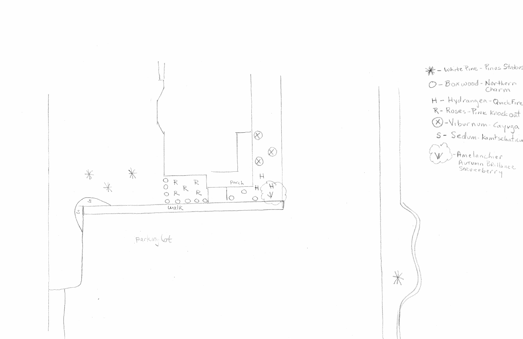

White Pine - Pinus Strabus O - Boxwood-Northern H - Hydrangen-Quidetire R-Roses-Pink Krockart Q-Viburnum-Cayvga 5 - Sedum-Kamtschatica J-Amelanchier<br>Autumn Brillance<br>Serviceberry  $\setminus \mathcal{U}$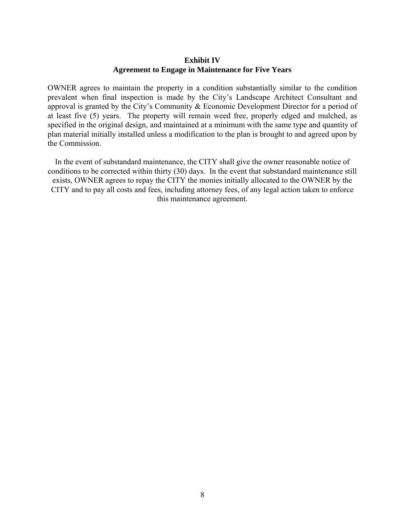## **Exhibit IV Agreement to Engage in Maintenance for Five Years**

OWNER agrees to maintain the property in a condition substantially similar to the condition prevalent when final inspection is made by the City's Landscape Architect Consultant and approval is granted by the City's Community & Economic Development Director for a period of at least five (5) years. The property will remain weed free, properly edged and mulched, as specified in the original design, and maintained at a minimum with the same type and quantity of plan material initially installed unless a modification to the plan is brought to and agreed upon by the Commission.

In the event of substandard maintenance, the CITY shall give the owner reasonable notice of conditions to be corrected within thirty (30) days. In the event that substandard maintenance still exists, OWNER agrees to repay the CITY the monies initially allocated to the OWNER by the CITY and to pay all costs and fees, including attorney fees, of any legal action taken to enforce this maintenance agreement.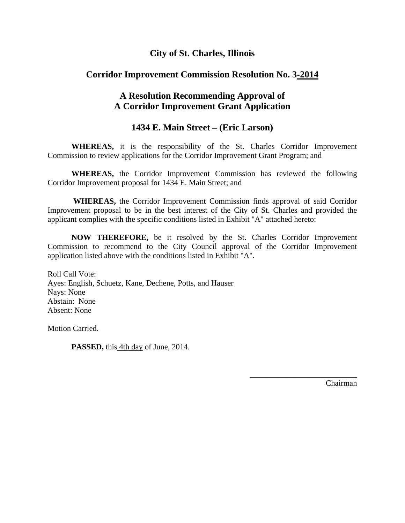# **City of St. Charles, Illinois**

# **Corridor Improvement Commission Resolution No. 3-2014**

# **A Resolution Recommending Approval of A Corridor Improvement Grant Application**

## **1434 E. Main Street – (Eric Larson)**

 **WHEREAS,** it is the responsibility of the St. Charles Corridor Improvement Commission to review applications for the Corridor Improvement Grant Program; and

 **WHEREAS,** the Corridor Improvement Commission has reviewed the following Corridor Improvement proposal for 1434 E. Main Street; and

 **WHEREAS,** the Corridor Improvement Commission finds approval of said Corridor Improvement proposal to be in the best interest of the City of St. Charles and provided the applicant complies with the specific conditions listed in Exhibit "A" attached hereto:

 **NOW THEREFORE,** be it resolved by the St. Charles Corridor Improvement Commission to recommend to the City Council approval of the Corridor Improvement application listed above with the conditions listed in Exhibit "A".

 $\overline{\phantom{a}}$  , and the contract of the contract of the contract of the contract of the contract of the contract of the contract of the contract of the contract of the contract of the contract of the contract of the contrac

Roll Call Vote: Ayes: English, Schuetz, Kane, Dechene, Potts, and Hauser Nays: None Abstain: None Absent: None

Motion Carried.

**PASSED,** this 4th day of June, 2014.

Chairman